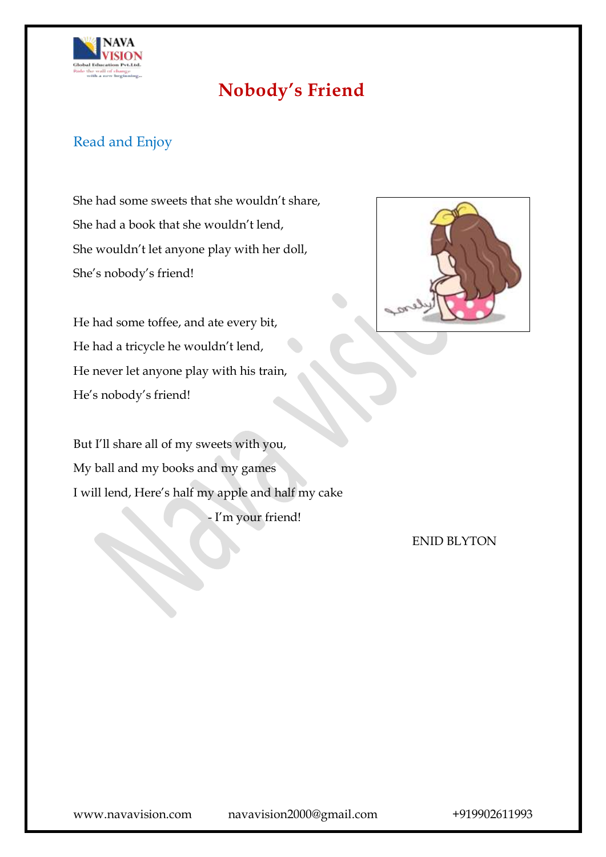

# **Nobody's Friend**

### Read and Enjoy

She had some sweets that she wouldn't share, She had a book that she wouldn't lend, She wouldn't let anyone play with her doll, She's nobody's friend!

He had some toffee, and ate every bit, He had a tricycle he wouldn't lend, He never let anyone play with his train, He's nobody's friend!

But I'll share all of my sweets with you, My ball and my books and my games I will lend, Here's half my apple and half my cake

- I'm your friend!



ENID BLYTON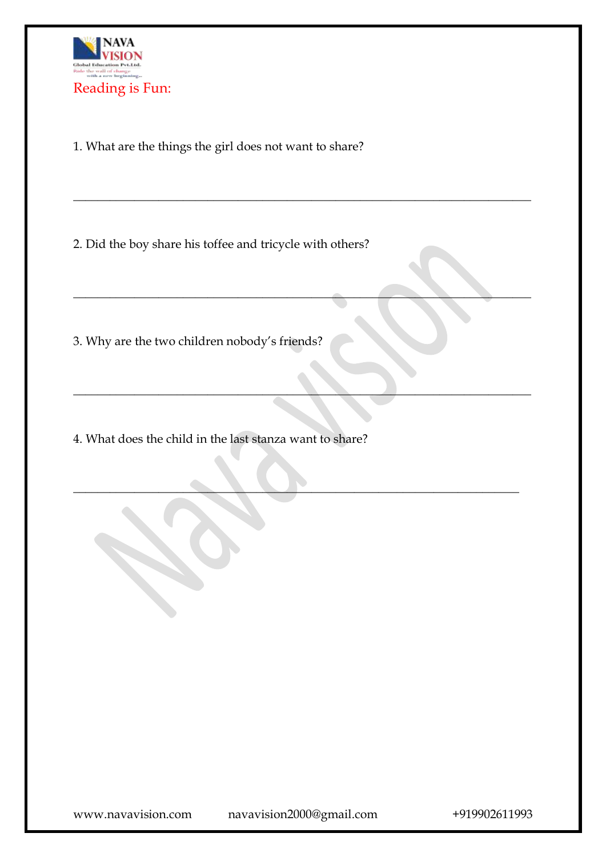

1. What are the things the girl does not want to share?

2. Did the boy share his toffee and tricycle with others?

\_\_\_\_\_\_\_\_\_\_\_\_\_\_\_\_\_\_\_\_\_\_\_\_\_\_\_\_\_\_\_\_\_\_\_\_\_\_\_\_\_\_\_\_\_\_\_\_\_\_\_\_\_\_\_\_\_\_\_\_\_\_\_\_\_\_\_\_\_\_\_\_\_\_\_

\_\_\_\_\_\_\_\_\_\_\_\_\_\_\_\_\_\_\_\_\_\_\_\_\_\_\_\_\_\_\_\_\_\_\_\_\_\_\_\_\_\_\_\_\_\_\_\_\_\_\_\_\_\_\_\_\_\_\_\_\_\_\_\_\_\_\_\_\_\_\_\_\_\_\_

 $\Box$  . The contract of the contract of  $\Box$  . The contract of  $\Box$  ,  $\Box$  ,  $\Box$  ,  $\Box$  ,  $\Box$  ,  $\Box$  ,  $\Box$  ,  $\Box$ 

 $\blacksquare$   $\blacksquare$   $\blacksquare$   $\blacksquare$   $\blacksquare$   $\blacksquare$   $\blacksquare$   $\blacksquare$   $\blacksquare$   $\blacksquare$   $\blacksquare$   $\blacksquare$   $\blacksquare$   $\blacksquare$   $\blacksquare$   $\blacksquare$   $\blacksquare$   $\blacksquare$   $\blacksquare$   $\blacksquare$   $\blacksquare$   $\blacksquare$   $\blacksquare$   $\blacksquare$   $\blacksquare$   $\blacksquare$   $\blacksquare$   $\blacksquare$   $\blacksquare$   $\blacksquare$   $\blacksquare$   $\blacks$ 

3. Why are the two children nobody's friends?

4. What does the child in the last stanza want to share?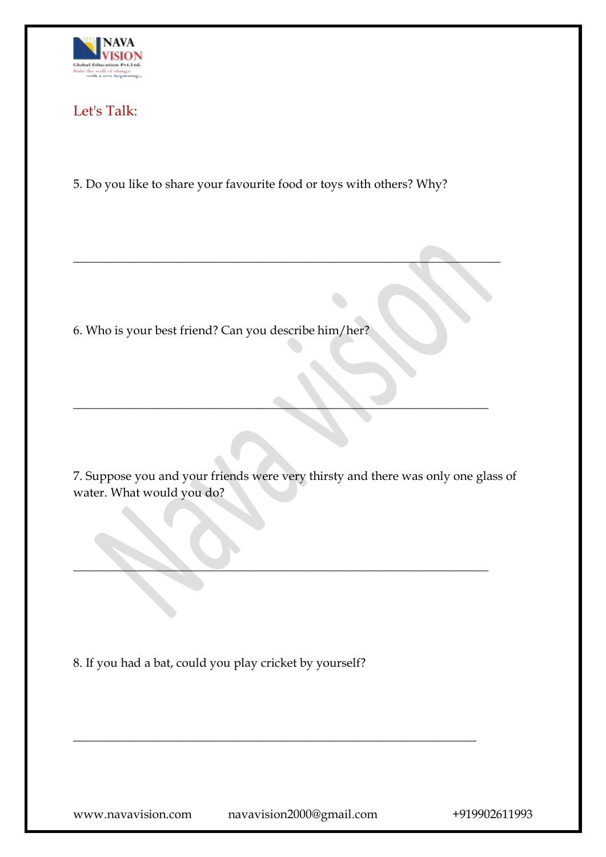

### Let's Talk:

5. Do you like to share your favourite food or toys with others? Why?

 $\overline{\phantom{a}}$  , and the contract of the contract of the contract of the contract of the contract of the contract of the contract of the contract of the contract of the contract of the contract of the contract of the contrac

6. Who is your best friend? Can you describe him/her?

7. Suppose you and your friends were very thirsty and there was only one glass of water. What would you do?

 $\blacksquare$ 

\_\_\_\_\_\_\_\_\_\_\_\_\_\_\_\_\_\_\_\_\_\_\_\_\_\_\_\_\_\_\_\_\_\_\_\_\_\_\_\_\_\_\_\_\_\_\_\_\_\_\_\_\_\_\_\_\_\_\_\_\_\_\_\_\_\_

\_\_\_\_\_\_\_\_\_\_\_\_\_\_\_\_\_\_\_\_\_\_\_\_\_\_\_\_\_\_\_\_\_\_\_\_\_\_\_\_\_\_\_\_\_\_\_\_\_\_\_\_\_\_\_\_\_\_\_\_\_\_\_\_\_\_\_\_

8. If you had a bat, could you play cricket by yourself?

www.navavision.com navavision2000@gmail.com +919902611993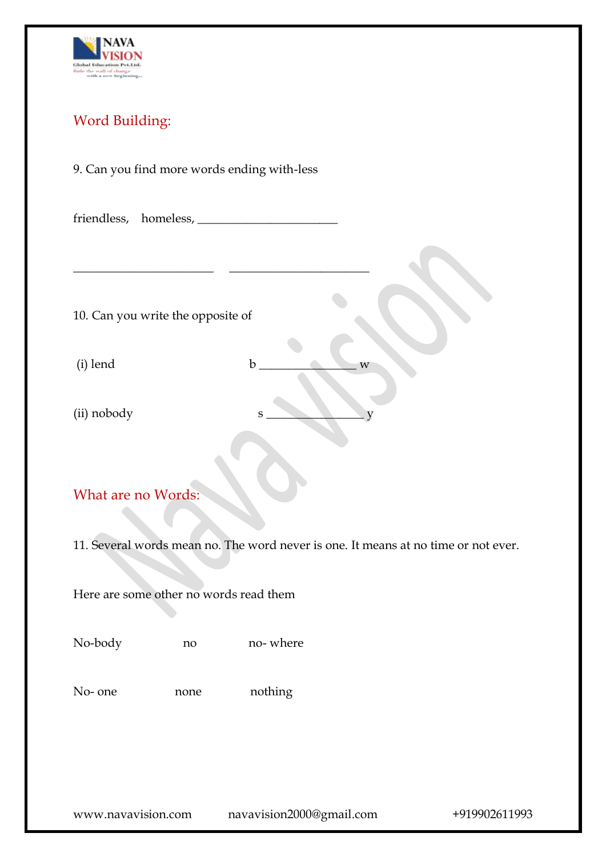

## Word Building:

### 9. Can you find more words ending with-less

| 10. Can you write the opposite of                                                  |      |                  |  |  |
|------------------------------------------------------------------------------------|------|------------------|--|--|
| (i) lend                                                                           |      | $\mathbf b$<br>W |  |  |
| (ii) nobody                                                                        |      | $\mathbf S$      |  |  |
|                                                                                    |      |                  |  |  |
| What are no Words:                                                                 |      |                  |  |  |
| 11. Several words mean no. The word never is one. It means at no time or not ever. |      |                  |  |  |
| Here are some other no words read them                                             |      |                  |  |  |
| No-body                                                                            | no   | no-where         |  |  |
| No- one                                                                            | none | nothing          |  |  |
|                                                                                    |      |                  |  |  |